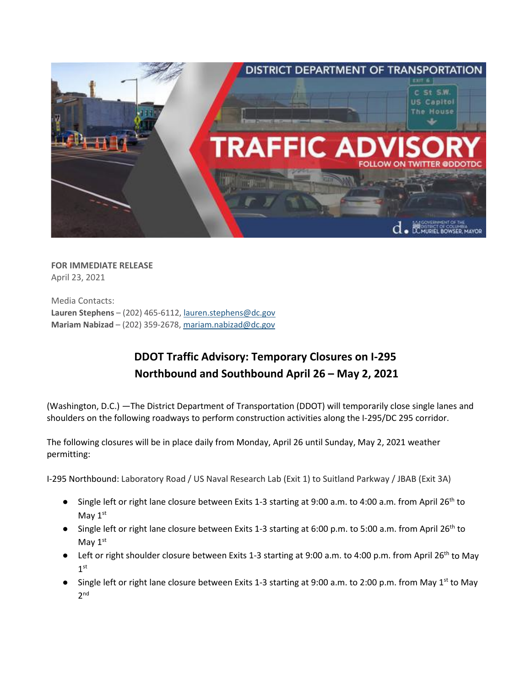

**FOR IMMEDIATE RELEASE** April 23, 2021

Media Contacts: **Lauren Stephens** – (202) 465-6112[, lauren.stephens@dc.gov](mailto:lauren.stephens@dc.gov) **Mariam Nabizad** – (202) 359-2678, [mariam.nabizad@dc.gov](mailto:mariam.nabizad@dc.gov)

## **DDOT Traffic Advisory: Temporary Closures on I-295 Northbound and Southbound April 26 – May 2, 2021**

(Washington, D.C.) —The District Department of Transportation (DDOT) will temporarily close single lanes and shoulders on the following roadways to perform construction activities along the I-295/DC 295 corridor.

The following closures will be in place daily from Monday, April 26 until Sunday, May 2, 2021 weather permitting:

I-295 Northbound: Laboratory Road / US Naval Research Lab (Exit 1) to Suitland Parkway / JBAB (Exit 3A)

- Single left or right lane closure between Exits 1-3 starting at 9:00 a.m. to 4:00 a.m. from April 26<sup>th</sup> to May 1st
- Single left or right lane closure between Exits 1-3 starting at 6:00 p.m. to 5:00 a.m. from April 26<sup>th</sup> to May 1st
- Left or right shoulder closure between Exits 1-3 starting at 9:00 a.m. to 4:00 p.m. from April 26<sup>th</sup> to May 1st
- Single left or right lane closure between Exits 1-3 starting at 9:00 a.m. to 2:00 p.m. from May 1st to May 2nd